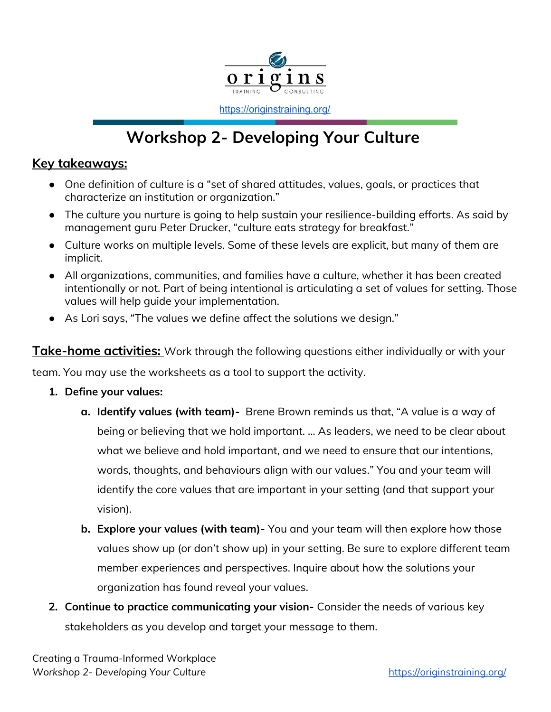

<https://originstraining.org/>

## **Workshop 2- Developing Your Culture**

## **Key takeaways:**

- One definition of culture is a "set of shared attitudes, values, goals, or practices that characterize an institution or organization."
- The culture you nurture is going to help sustain your resilience-building efforts. As said by management guru Peter Drucker, "culture eats strategy for breakfast."
- Culture works on multiple levels. Some of these levels are explicit, but many of them are implicit.
- All organizations, communities, and families have a culture, whether it has been created intentionally or not. Part of being intentional is articulating a set of values for setting. Those values will help guide your implementation.
- As Lori says, "The values we define affect the solutions we design."

**Take-home activities:** Work through the following questions either individually or with your

team. You may use the worksheets as a tool to support the activity.

- **1. Define your values:**
	- **a. Identify values (with team)-** Brene Brown reminds us that, "A value is a way of being or believing that we hold important. ... As leaders, we need to be clear about what we believe and hold important, and we need to ensure that our intentions, words, thoughts, and behaviours align with our values." You and your team will identify the core values that are important in your setting (and that support your vision).
	- **b. Explore your values (with team)-** You and your team will then explore how those values show up (or don't show up) in your setting. Be sure to explore different team member experiences and perspectives. Inquire about how the solutions your organization has found reveal your values.
- **2. Continue to practice communicating your vision-** Consider the needs of various key stakeholders as you develop and target your message to them.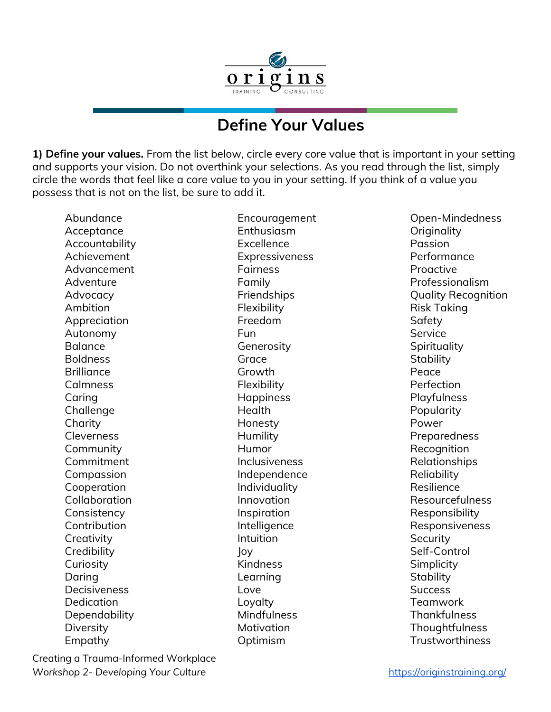

## **Define Your Values**

**1) Define your values.** From the list below, circle every core value that is important in your setting and supports your vision. Do not overthink your selections. As you read through the list, simply circle the words that feel like a core value to you in your setting. If you think of a value you possess that is not on the list, be sure to add it.

Abundance Acceptance **Accountability** Achievement Advancement Adventure Advocacy Ambition Appreciation Autonomy Balance Boldness **Brilliance** Calmness Caring Challenge **Charity Cleverness** Community Commitment Compassion Cooperation Collaboration **Consistency Contribution Creativity Credibility Curiosity** Daring **Decisiveness** Dedication Dependability **Diversity** Empathy

Encouragement Enthusiasm Excellence Expressiveness Fairness Family **Friendships** Flexibility Freedom Fun **Generosity** Grace Growth **Flexibility Happiness Health** Honesty Humility Humor **Inclusiveness** Independence Individuality Innovation Inspiration Intelligence **Intuition** Joy Kindness Learning Love Loyalty Mindfulness **Motivation** Optimism

Open-Mindedness **Originality** Passion Performance Proactive Professionalism Quality Recognition Risk Taking **Safety** Service **Spirituality Stability** Peace Perfection Playfulness Popularity Power Preparedness **Recognition** Relationships **Reliability** Resilience Resourcefulness Responsibility Responsiveness **Security** Self-Control **Simplicity Stability Success** Teamwork **Thankfulness** Thoughtfulness **Trustworthiness** 

Creating a Trauma-Informed Workplace **Workshop 2- Developing Your Culture** <https://originstraining.org/>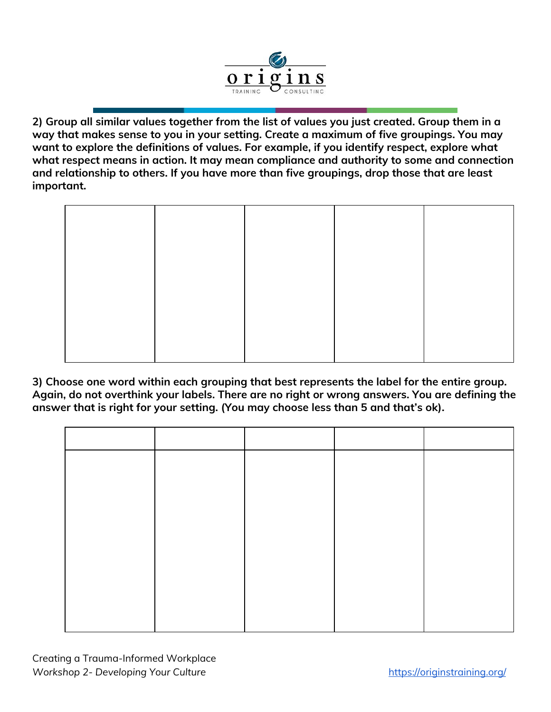

**2) Group all similar values together from the list of values you just created. Group them in a way that makes sense to you in your setting. Create a maximum of five groupings. You may want to explore the definitions of values. For example, if you identify respect, explore what what respect means in action. It may mean compliance and authority to some and connection and relationship to others. If you have more than five groupings, drop those that are least important.**

**3) Choose one word within each grouping that best represents the label for the entire group. Again, do not overthink your labels. There are no right or wrong answers. You are defining the answer that is right for your setting. (You may choose less than 5 and that's ok).**